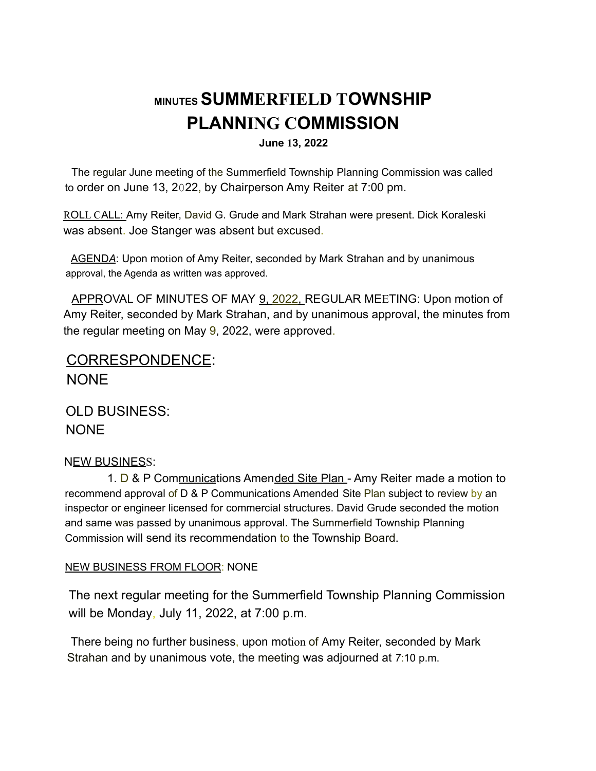# **MINUTES SUMMERFIELD TOWNSHIP PLANNING COMMISSION**

#### **June 13, 2022**

The regular June meeting of the Summerfield Township Planning Commission was called to order on June 13, 2022, by Chairperson Amy Reiter at 7:00 pm.

ROLL CALL: Amy Reiter, David G. Grude and Mark Strahan were present. Dick Koraleski was absent. Joe Stanger was absent but excused.

AGEND*A*: Upon motion of Amy Reiter, seconded by Mark Strahan and by unanimous approval, the Agenda as written was approved.

APPROVAL OF MINUTES OF MAY 9, 2022, REGULAR MEETING: Upon motion of Amy Reiter, seconded by Mark Strahan, and by unanimous approval, the minutes from the regular meeting on May 9, 2022, were approved.

## CORRESPONDENCE: NONE

OLD BUSINESS: NONE

### NEW BUSINESS:

1. D & P Communications Amended Site Plan - Amy Reiter made a motion to recommend approval of D & P Communications Amended Site Plan subject to review by an inspector or engineer licensed for commercial structures. David Grude seconded the motion and same was passed by unanimous approval. The Summerfield Township Planning Commission will send its recommendation to the Township Board.

### NEW BUSINESS FROM FLOOR: NONE

The next regular meeting for the Summerfield Township Planning Commission will be Monday, July 11, 2022, at 7:00 p.m.

There being no further business, upon motion of Amy Reiter, seconded by Mark Strahan and by unanimous vote, the meeting was adjourned at *7*:10 p.m.